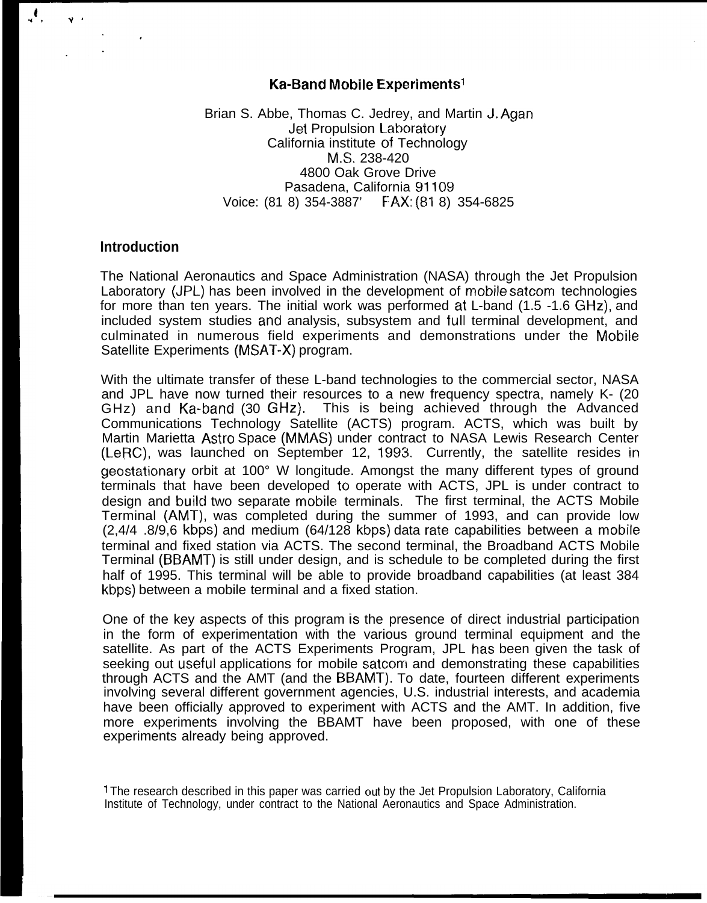#### **Ka-Band Mobile Experiments<sup>1</sup>**

Brian S. Abbe, Thomas C. Jedrey, and Martin J. Agan Jet Propulsion Laboratory California institute of Technology M.S. 238-420 4800 Oak Grove Drive Pasadena, California 91109 Voice: (81 8) 354-3887' FAX: (81 8) 354-6825

### **Introduction**

 $\mathcal{N}_\mathbf{z}$ 

 $\ddot{\bm{v}}$ 

The National Aeronautics and Space Administration (NASA) through the Jet Propulsion Laboratory (JPL) has been involved in the development of mobile satcom technologies for more than ten years. The initial work was performed at L-band (1.5 -1.6 GHz), and included system studies and analysis, subsystem and full terminal development, and culminated in numerous field experiments and demonstrations under the Mobile Satellite Experiments (MSAT-X) program.

With the ultimate transfer of these L-band technologies to the commercial sector, NASA and JPL have now turned their resources to a new frequency spectra, namely K- (20 GHz) and Ka-band (30 GHz). This is being achieved through the Advanced Communications Technology Satellite (ACTS) program. ACTS, which was built by Martin Marietta Astro Space (MMAS) under contract to NASA Lewis Research Center (LeRC), was launched on September 12, 1993. Currently, the satellite resides in geostationary orbit at 100° W longitude. Amongst the many different types of ground terminals that have been developed to operate with ACTS, JPL is under contract to design and build two separate mobile terminals. The first terminal, the ACTS Mobile Terminal (AMT), was completed during the summer of 1993, and can provide low (2,4/4 .8/9,6 kbps) and medium (64/128 kbps) data rale capabilities between a mobile terminal and fixed station via ACTS. The second terminal, the Broadband ACTS Mobile Terminal (BBAMT) is still under design, and is schedule to be completed during the first half of 1995. This terminal will be able to provide broadband capabilities (at least 384 kbps) between a mobile terminal and a fixed station.

One of the key aspects of this program is the presence of direct industrial participation in the form of experimentation with the various ground terminal equipment and the satellite. As part of the ACTS Experiments Program, JPL has been given the task of seeking out useful applications for mobile satcom and demonstrating these capabilities through ACTS and the AMT (and the BBAMT). To date, fourteen different experiments involving several different government agencies, U.S. industrial interests, and academia have been officially approved to experiment with ACTS and the AMT. In addition, five more experiments involving the BBAMT have been proposed, with one of these experiments already being approved.

<sup>1</sup> The research described in this paper was carried out by the Jet Propulsion Laboratory, California Institute of Technology, under contract to the National Aeronautics and Space Administration.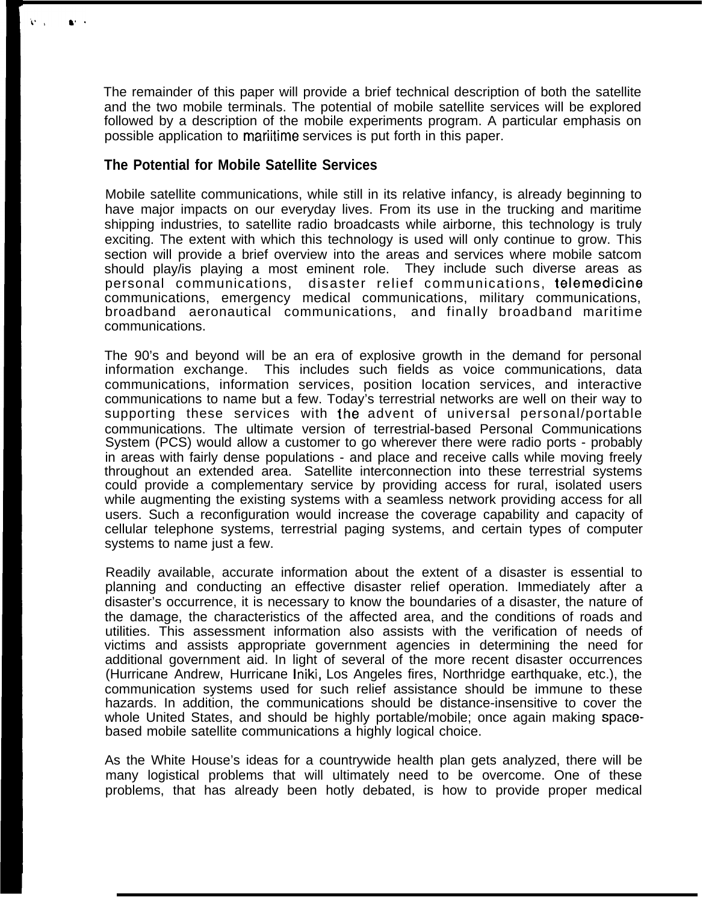The remainder of this paper will provide a brief technical description of both the satellite and the two mobile terminals. The potential of mobile satellite services will be explored followed by a description of the mobile experiments program. A particular emphasis on possible application to mariitime services is put forth in this paper.

## **The Potential for Mobile Satellite Services**

 $\mathbf{a}$ 

Mobile satellite communications, while still in its relative infancy, is already beginning to have major impacts on our everyday lives. From its use in the trucking and maritime shipping industries, to satellite radio broadcasts while airborne, this technology is truly exciting. The extent with which this technology is used will only continue to grow. This section will provide a brief overview into the areas and services where mobile satcom should play/is playing a most eminent role. They include such diverse areas as personal communications, disaster relief communications, telemedicine communications, emergency medical communications, military communications, broadband aeronautical communications, and finally broadband maritime communications.

The 90's and beyond will be an era of explosive growth in the demand for personal information exchange. This includes such fields as voice communications, data communications, information services, position location services, and interactive communications to name but a few. Today's terrestrial networks are well on their way to supporting these services with the advent of universal personal/portable communications. The ultimate version of terrestrial-based Personal Communications System (PCS) would allow a customer to go wherever there were radio ports - probably in areas with fairly dense populations - and place and receive calls while moving freely throughout an extended area. Satellite interconnection into these terrestrial systems could provide a complementary service by providing access for rural, isolated users while augmenting the existing systems with a seamless network providing access for all users. Such a reconfiguration would increase the coverage capability and capacity of cellular telephone systems, terrestrial paging systems, and certain types of computer systems to name just a few.

Readily available, accurate information about the extent of a disaster is essential to planning and conducting an effective disaster relief operation. Immediately after a disaster's occurrence, it is necessary to know the boundaries of a disaster, the nature of the damage, the characteristics of the affected area, and the conditions of roads and utilities. This assessment information also assists with the verification of needs of victims and assists appropriate government agencies in determining the need for additional government aid. In light of several of the more recent disaster occurrences (Hurricane Andrew, Hurricane Iniki, Los Angeles fires, Northridge earthquake, etc.), the communication systems used for such relief assistance should be immune to these hazards. In addition, the communications should be distance-insensitive to cover the whole United States, and should be highly portable/mobile; once again making spacebased mobile satellite communications a highly logical choice.

As the White House's ideas for a countrywide health plan gets analyzed, there will be many logistical problems that will ultimately need to be overcome. One of these problems, that has already been hotly debated, is how to provide proper medical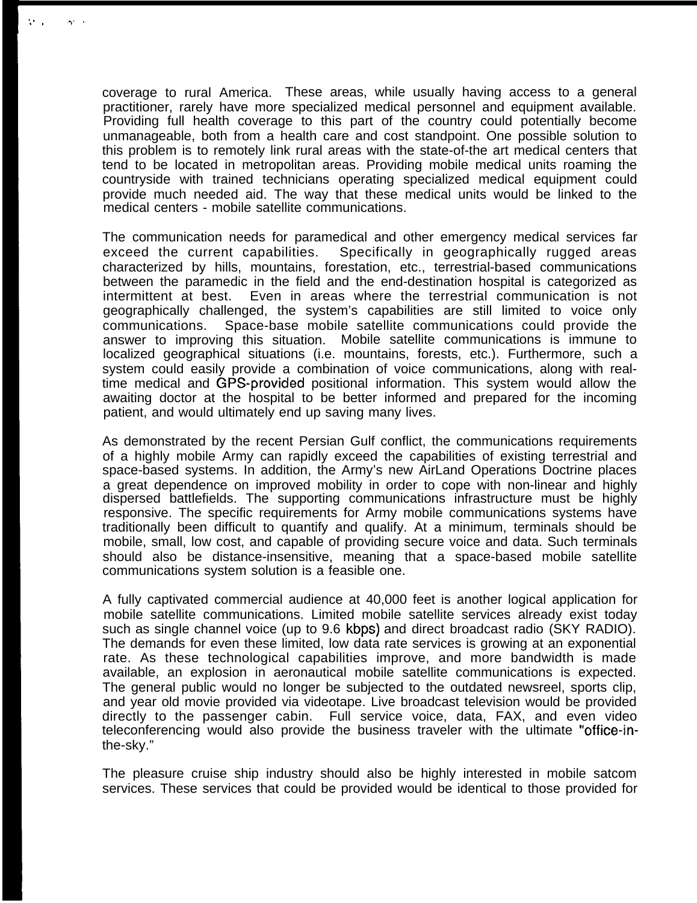coverage to rural America. These areas, while usually having access to a general practitioner, rarely have more specialized medical personnel and equipment available. Providing full health coverage to this part of the country could potentially become unmanageable, both from a health care and cost standpoint. One possible solution to this problem is to remotely link rural areas with the state-of-the art medical centers that tend to be located in metropolitan areas. Providing mobile medical units roaming the countryside with trained technicians operating specialized medical equipment could provide much needed aid. The way that these medical units would be linked to the medical centers - mobile satellite communications.

the c

 $\Delta t \rightarrow$ 

The communication needs for paramedical and other emergency medical services far exceed the current capabilities. Specifically in geographically rugged areas characterized by hills, mountains, forestation, etc., terrestrial-based communications between the paramedic in the field and the end-destination hospital is categorized as intermittent at best. Even in areas where the terrestrial communication is not geographically challenged, the system's capabilities are still limited to voice only communications. Space-base mobile satellite communications could provide the answer to improving this situation. Mobile satellite communications is immune to localized geographical situations (i.e. mountains, forests, etc.). Furthermore, such a system could easily provide a combination of voice communications, along with realtime medical and GPS-provided positional information. This system would allow the awaiting doctor at the hospital to be better informed and prepared for the incoming patient, and would ultimately end up saving many lives.

As demonstrated by the recent Persian Gulf conflict, the communications requirements of a highly mobile Army can rapidly exceed the capabilities of existing terrestrial and space-based systems. In addition, the Army's new AirLand Operations Doctrine places a great dependence on improved mobility in order to cope with non-linear and highly dispersed battlefields. The supporting communications infrastructure must be highly responsive. The specific requirements for Army mobile communications systems have traditionally been difficult to quantify and qualify. At a minimum, terminals should be mobile, small, low cost, and capable of providing secure voice and data. Such terminals should also be distance-insensitive, meaning that a space-based mobile satellite communications system solution is a feasible one.

A fully captivated commercial audience at 40,000 feet is another logical application for mobile satellite communications. Limited mobile satellite services already exist today such as single channel voice (up to 9.6 kbps) and direct broadcast radio (SKY RADIO). The demands for even these limited, low data rate services is growing at an exponential rate. As these technological capabilities improve, and more bandwidth is made available, an explosion in aeronautical mobile satellite communications is expected. The general public would no longer be subjected to the outdated newsreel, sports clip, and year old movie provided via videotape. Live broadcast television would be provided directly to the passenger cabin. Full service voice, data, FAX, and even video teleconferencing would also provide the business traveler with the ultimate "office-inthe-sky."

The pleasure cruise ship industry should also be highly interested in mobile satcom services. These services that could be provided would be identical to those provided for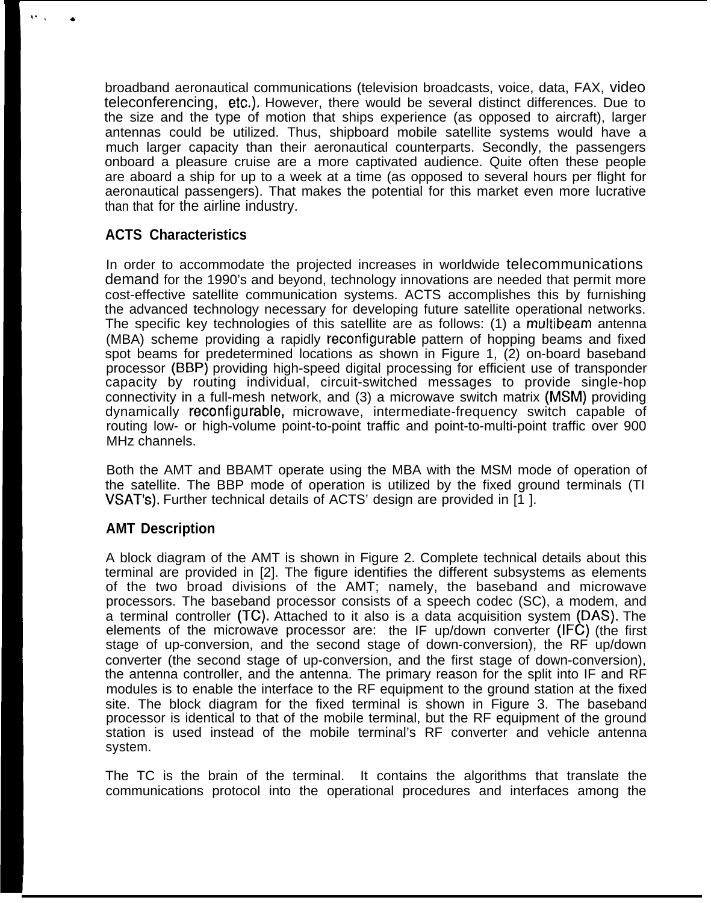broadband aeronautical communications (television broadcasts, voice, data, FAX, video teleconferencing, etc.). However, there would be several distinct differences. Due to the size and the type of motion that ships experience (as opposed to aircraft), larger antennas could be utilized. Thus, shipboard mobile satellite systems would have a much larger capacity than their aeronautical counterparts. Secondly, the passengers onboard a pleasure cruise are a more captivated audience. Quite often these people are aboard a ship for up to a week at a time (as opposed to several hours per flight for aeronautical passengers). That makes the potential for this market even more lucrative than that for the airline industry.

# **ACTS Characteristics**

In order to accommodate the projected increases in worldwide telecommunications demand for the 1990's and beyond, technology innovations are needed that permit more cost-effective satellite communication systems. ACTS accomplishes this by furnishing the advanced technology necessary for developing future satellite operational networks. The specific key technologies of this satellite are as follows: (1) a multibeam antenna (MBA) scheme providing a rapidly reconfigurable pattern of hopping beams and fixed spot beams for predetermined locations as shown in Figure 1, (2) on-board baseband processor (BBP) providing high-speed digital processing for efficient use of transponder capacity by routing individual, circuit-switched messages to provide single-hop connectivity in a full-mesh network, and (3) a microwave switch matrix (MSM) providing dynamically reconfigurable, microwave, intermediate-frequency switch capable of routing low- or high-volume point-to-point traffic and point-to-multi-point traffic over 900 MHz channels.

Both the AMT and BBAMT operate using the MBA with the MSM mode of operation of the satellite. The BBP mode of operation is utilized by the fixed ground terminals (TI VSAT'S). Further technical details of ACTS' design are provided in [1 ].

# **AMT Description**

A block diagram of the AMT is shown in Figure 2. Complete technical details about this terminal are provided in [2]. The figure identifies the different subsystems as elements of the two broad divisions of the AMT; namely, the baseband and microwave processors. The baseband processor consists of a speech codec (SC), a modem, and a terminal controller (TC). Attached to it also is a data acquisition system (DAS). The elements of the microwave processor are: the IF up/down converter (IFC) (the first stage of up-conversion, and the second stage of down-conversion), the RF up/down converter (the second stage of up-conversion, and the first stage of down-conversion), the antenna controller, and the antenna. The primary reason for the split into IF and RF modules is to enable the interface to the RF equipment to the ground station at the fixed site. The block diagram for the fixed terminal is shown in Figure 3. The baseband processor is identical to that of the mobile terminal, but the RF equipment of the ground station is used instead of the mobile terminal's RF converter and vehicle antenna system.

The TC is the brain of the terminal. It contains the algorithms that translate the communications protocol into the operational procedures and interfaces among the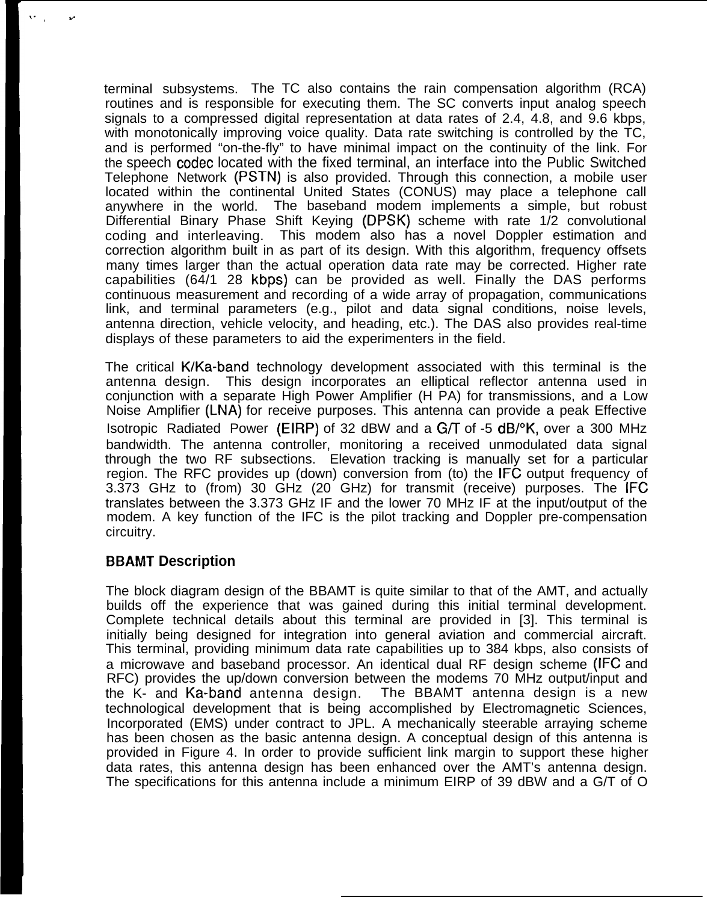terminal subsystems. The TC also contains the rain compensation algorithm (RCA) routines and is responsible for executing them. The SC converts input analog speech signals to a compressed digital representation at data rates of 2.4, 4.8, and 9.6 kbps, with monotonically improving voice quality. Data rate switching is controlled by the TC, and is performed "on-the-fly" to have minimal impact on the continuity of the link. For the speech codec located with the fixed terminal, an interface into the Public Switched Telephone Network (PSTN) is also provided. Through this connection, a mobile user located within the continental United States (CONUS) may place a telephone call anywhere in the world. The baseband modem implements a simple, but robust Differential Binary Phase Shift Keying (DPSK) scheme with rate 1/2 convolutional coding and interleaving. This modem also has a novel Doppler estimation and correction algorithm built in as part of its design. With this algorithm, frequency offsets many times larger than the actual operation data rate may be corrected. Higher rate capabilities (64/1 28 kbps) can be provided as well. Finally the DAS performs continuous measurement and recording of a wide array of propagation, communications link, and terminal parameters (e.g., pilot and data signal conditions, noise levels, antenna direction, vehicle velocity, and heading, etc.). The DAS also provides real-time displays of these parameters to aid the experimenters in the field.

The critical K/Ka-band technology development associated with this terminal is the antenna design. This design incorporates an elliptical reflector antenna used in conjunction with a separate High Power Amplifier (H PA) for transmissions, and a Low Noise Amplifier (LNA) for receive purposes. This antenna can provide a peak Effective Isotropic Radiated Power (EIRP) of 32 dBW and a  $G/T$  of -5 dB/ $\degree$ K, over a 300 MHz bandwidth. The antenna controller, monitoring a received unmodulated data signal through the two RF subsections. Elevation tracking is manually set for a particular region. The RFC provides up (down) conversion from (to) the IFC output frequency of 3.373 GHz to (from) 30 GHz (20 GHz) for transmit (receive) purposes. The IFC translates between the 3.373 GHz IF and the lower 70 MHz IF at the input/output of the modem. A key function of the IFC is the pilot tracking and Doppler pre-compensation circuitry.

# **BBAMT Description**

\., ,.

The block diagram design of the BBAMT is quite similar to that of the AMT, and actually builds off the experience that was gained during this initial terminal development. Complete technical details about this terminal are provided in [3]. This terminal is initially being designed for integration into general aviation and commercial aircraft. This terminal, providing minimum data rate capabilities up to 384 kbps, also consists of a microwave and baseband processor. An identical dual RF design scheme (IFC and RFC) provides the up/down conversion between the modems 70 MHz output/input and the K- and Ka-band antenna design. The BBAMT antenna design is a new technological development that is being accomplished by Electromagnetic Sciences, Incorporated (EMS) under contract to JPL. A mechanically steerable arraying scheme has been chosen as the basic antenna design. A conceptual design of this antenna is provided in Figure 4. In order to provide sufficient link margin to support these higher data rates, this antenna design has been enhanced over the AMT's antenna design. The specifications for this antenna include a minimum EIRP of 39 dBW and a G/T of O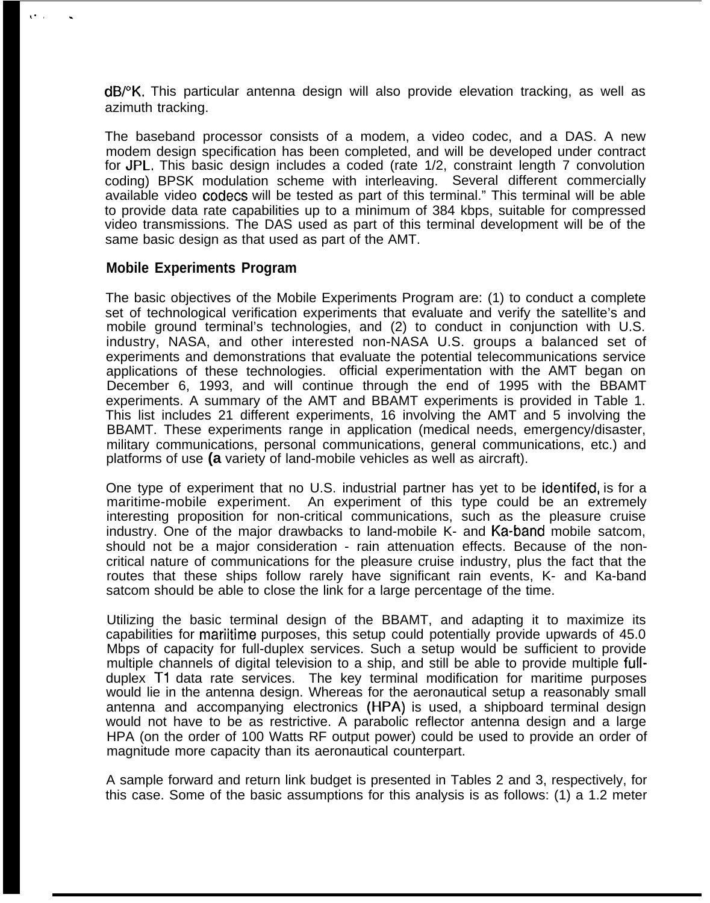dB/°K. This particular antenna design will also provide elevation tracking, as well as azimuth tracking.

The baseband processor consists of a modem, a video codec, and a DAS. A new modem design specification has been completed, and will be developed under contract for JPL, This basic design includes a coded (rate 1/2, constraint length 7 convolution coding) BPSK modulation scheme with interleaving. Several different commercially available video codecs will be tested as part of this terminal." This terminal will be able to provide data rate capabilities up to a minimum of 384 kbps, suitable for compressed video transmissions. The DAS used as part of this terminal development will be of the same basic design as that used as part of the AMT.

### **Mobile Experiments Program**

 $\ddot{\phantom{a}}$ 

The basic objectives of the Mobile Experiments Program are: (1) to conduct a complete set of technological verification experiments that evaluate and verify the satellite's and mobile ground terminal's technologies, and (2) to conduct in conjunction with U.S. industry, NASA, and other interested non-NASA U.S. groups a balanced set of experiments and demonstrations that evaluate the potential telecommunications service applications of these technologies. official experimentation with the AMT began on December 6, 1993, and will continue through the end of 1995 with the BBAMT experiments. A summary of the AMT and BBAMT experiments is provided in Table 1. This list includes 21 different experiments, 16 involving the AMT and 5 involving the BBAMT. These experiments range in application (medical needs, emergency/disaster, military communications, personal communications, general communications, etc.) and platforms of use **(a** variety of land-mobile vehicles as well as aircraft).

One type of experiment that no U.S. industrial partner has yet to be identifed, is for a maritime-mobile experiment. An experiment of this type could be an extremely interesting proposition for non-critical communications, such as the pleasure cruise industry. One of the major drawbacks to land-mobile K- and Ka-band mobile satcom, should not be a major consideration - rain attenuation effects. Because of the noncritical nature of communications for the pleasure cruise industry, plus the fact that the routes that these ships follow rarely have significant rain events, K- and Ka-band satcom should be able to close the link for a large percentage of the time.

Utilizing the basic terminal design of the BBAMT, and adapting it to maximize its capabilities for mariitime purposes, this setup could potentially provide upwards of 45.0 Mbps of capacity for full-duplex services. Such a setup would be sufficient to provide multiple channels of digital television to a ship, and still be able to provide multiple fullduplex T1 data rate services. The key terminal modification for maritime purposes would lie in the antenna design. Whereas for the aeronautical setup a reasonably small antenna and accompanying electronics (HPA) is used, a shipboard terminal design would not have to be as restrictive. A parabolic reflector antenna design and a large HPA (on the order of 100 Watts RF output power) could be used to provide an order of magnitude more capacity than its aeronautical counterpart.

A sample forward and return link budget is presented in Tables 2 and 3, respectively, for this case. Some of the basic assumptions for this analysis is as follows: (1) a 1.2 meter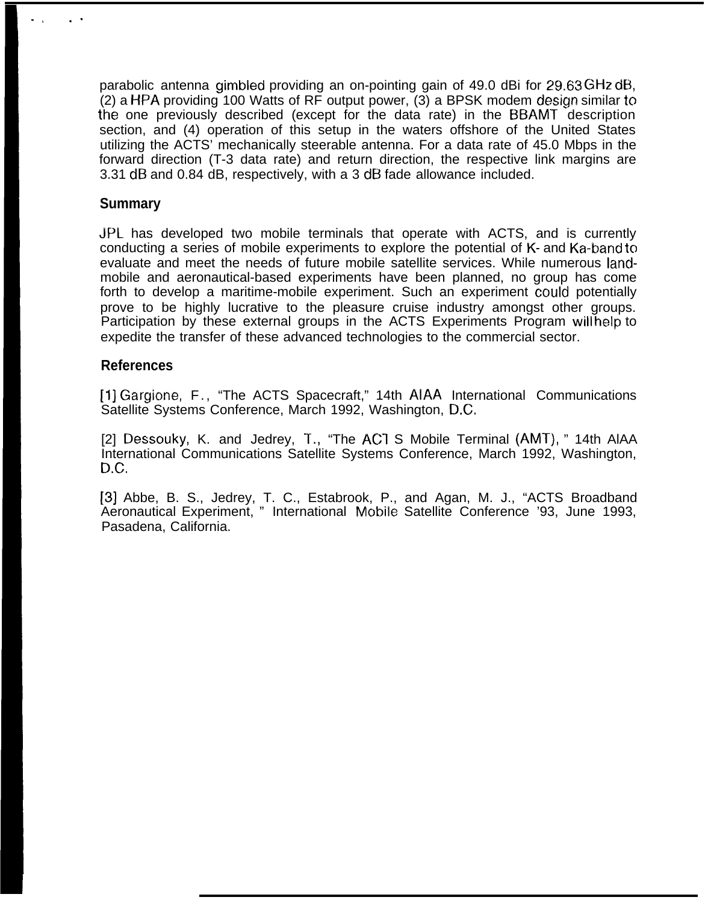parabolic antenna gimbled providing an on-pointing gain of 49.0 dBi for 29.63 GHz dB, (2) a HPA providing 100 Watts of RF output power, (3) a BPSK modem design similar to the one previously described (except for the data rate) in the E3BAMT description section, and (4) operation of this setup in the waters offshore of the United States utilizing the ACTS' mechanically steerable antenna. For a data rate of 45.0 Mbps in the forward direction (T-3 data rate) and return direction, the respective link margins are 3.31 dB and 0.84 dB, respectively, with a 3 dB fade allowance included.

### **Summary**

-, . .

JPL has developed two mobile terminals that operate with ACTS, and is currently conducting a series of mobile experiments to explore the potential of K- and Ka-band to evaluate and meet the needs of future mobile satellite services. While numerous landmobile and aeronautical-based experiments have been planned, no group has come forth to develop a maritime-mobile experiment. Such an experiment could potentially prove to be highly lucrative to the pleasure cruise industry amongst other groups. Participation by these external groups in the ACTS Experiments Program will help to expedite the transfer of these advanced technologies to the commercial sector.

### **References**

[1] Gargione, F., "The ACTS Spacecraft," 14th AIAA International Communications Satellite Systems Conference, March 1992, Washington, D.C.

[2] Dessouky, K. and Jedrey, T., "The ACI S Mobile Terminal (AMT), " 14th AlAA International Communications Satellite Systems Conference, March 1992, Washington, D.C.

[3] Abbe, B. S., Jedrey, T. C., Estabrook, P., and Agan, M. J., "ACTS Broadband Aeronautical Experiment, " International Mobile Satellite Conference '93, June 1993, Pasadena, California.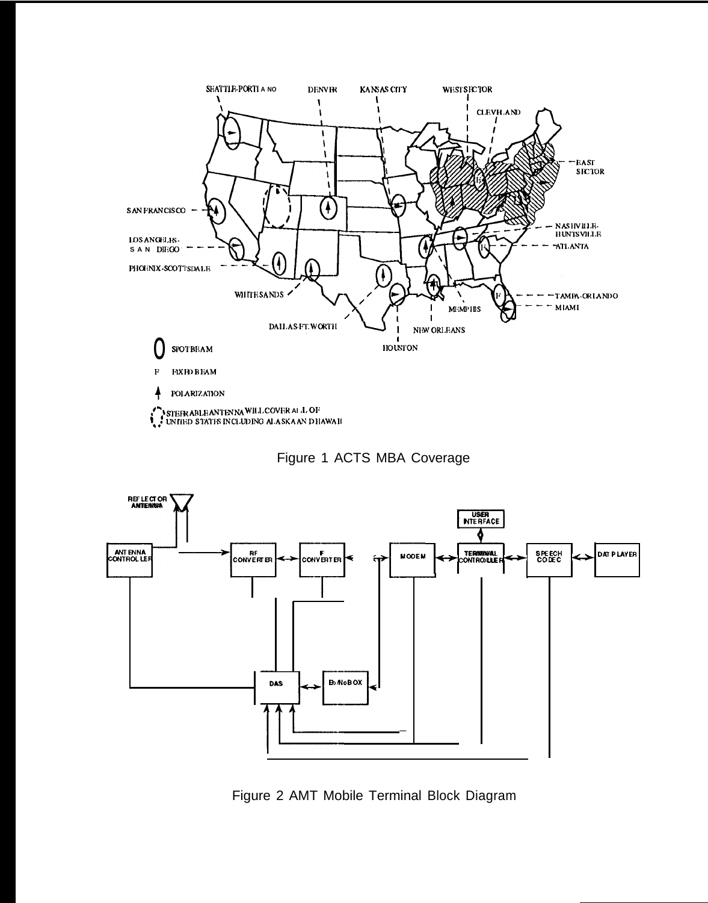





Figure 2 AMT Mobile Terminal Block Diagram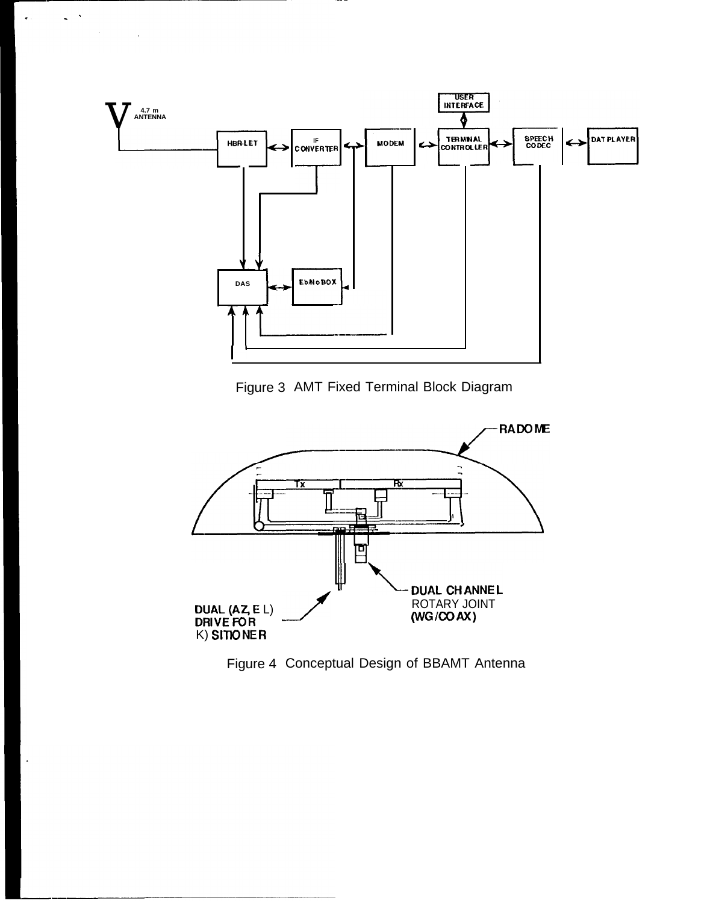

÷,  $\hat{\mathbf{z}}$ 

 $\ddot{\phantom{0}}$ 

Figure 3 AMT Fixed Terminal Block Diagram



Figure 4 Conceptual Design of BBAMT Antenna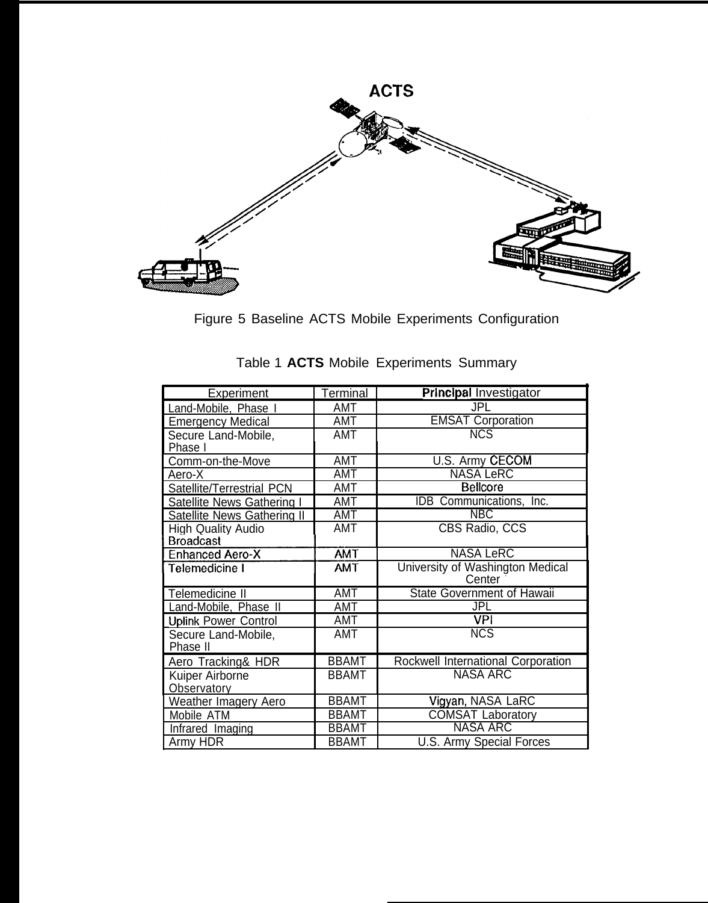

Figure 5 Baseline ACTS Mobile Experiments Configuration

| Experiment                                    | Terminal     | <b>Principal Investigator</b>              |
|-----------------------------------------------|--------------|--------------------------------------------|
| Land-Mobile, Phase I                          | <b>AMT</b>   | <b>JPL</b>                                 |
| <b>Emergency Medical</b>                      | AMT          | <b>EMSAT Corporation</b>                   |
| Secure Land-Mobile,<br>Phase I                | AMT          | <b>NCS</b>                                 |
| Comm-on-the-Move                              | <b>AMT</b>   | U.S. Army CECOM                            |
| Aero-X                                        | AMT          | <b>NASA LeRC</b>                           |
| Satellite/Terrestrial PCN                     | AMT          | <b>Bellcore</b>                            |
| Satellite News Gathering I                    | AMT          | IDB Communications, Inc.                   |
| Satellite News Gathering II                   | <b>AMT</b>   | <b>NBC</b>                                 |
| <b>High Quality Audio</b><br><b>Broadcast</b> | <b>AMT</b>   | CBS Radio, CCS                             |
| <b>Enhanced Aero-X</b>                        | <b>AMT</b>   | <b>NASA LeRC</b>                           |
| Telemedicine I                                | <b>TMA</b>   | University of Washington Medical<br>Center |
| Telemedicine II                               | <b>AMT</b>   | State Government of Hawaii                 |
| Land-Mobile, Phase II                         | AMT          | <b>JPL</b>                                 |
| <b>Uplink Power Control</b>                   | <b>AMT</b>   | <b>VPI</b>                                 |
| Secure Land-Mobile,<br>Phase II               | AMT          | <b>NCS</b>                                 |
| Aero Tracking& HDR                            | <b>BBAMT</b> | Rockwell International Corporation         |
| Kuiper Airborne                               | <b>BBAMT</b> | <b>NASA ARC</b>                            |
| Observatory                                   |              |                                            |
| Weather Imagery Aero                          | <b>BBAMT</b> | Vigyan, NASA LaRC                          |
| Mobile ATM                                    | <b>BBAMT</b> | <b>COMSAT Laboratory</b>                   |
| Infrared Imaging                              | <b>BBAMT</b> | <b>NASA ARC</b>                            |
| Army HDR                                      | <b>BBAMT</b> | <b>U.S. Army Special Forces</b>            |

|  |  |  | Table 1 ACTS Mobile Experiments Summary |  |  |
|--|--|--|-----------------------------------------|--|--|
|--|--|--|-----------------------------------------|--|--|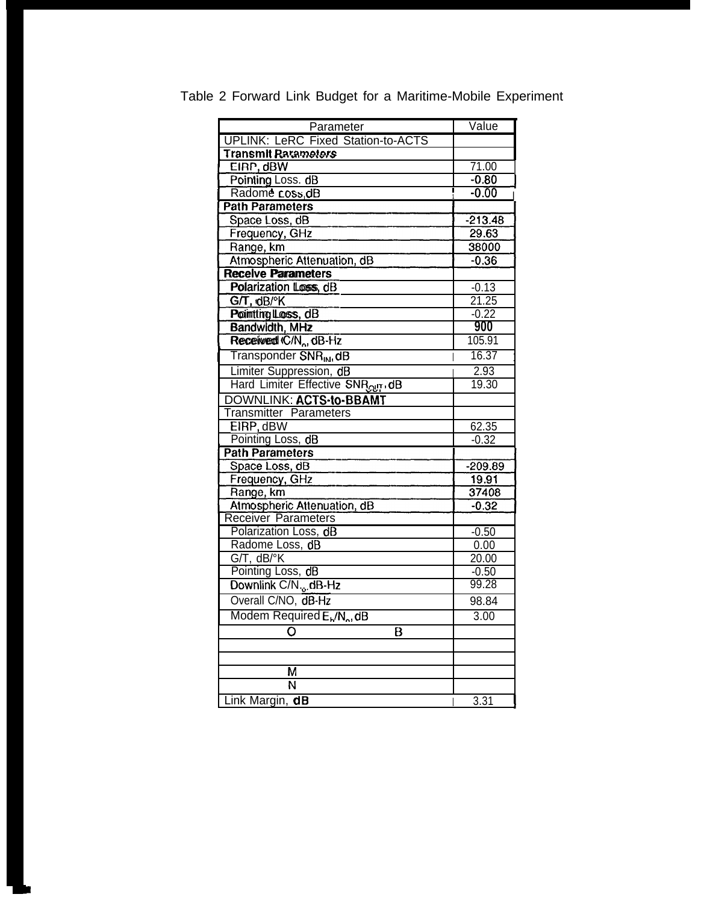| Parameter                                          | Value                 |
|----------------------------------------------------|-----------------------|
| <b>UPLINK: LeRC Fixed Station-to-ACTS</b>          |                       |
| <b>Transmit Parameters</b>                         |                       |
| EIRP, dBW                                          | 71.00                 |
| Pointing Loss. dB                                  | $-0.80$               |
| Radome coss dB                                     | $-0.00$               |
| <b>Path Parameters</b>                             |                       |
| Space Loss, dB                                     | $-213.48$             |
| Frequency, GHz                                     | 29.63                 |
| Range, km                                          | 38000                 |
| Atmospheric Attenuation, dB                        | $-0.36$               |
| <b>Receive Parameters</b>                          |                       |
| Polarization Loss, dB                              | $\frac{-0.13}{21.25}$ |
| $GT$ , dB/ $\circ$ K                               |                       |
| Pointting Loss, dB                                 | $-0.22$               |
| <b>Bandwidth, MHz</b>                              | 900                   |
| Received (C/N <sub>o</sub> , dB-Hz                 | 105.91                |
| Transponder SNR <sub>IN</sub> , dB                 | 16.37                 |
| Limiter Suppression, dB                            | 2.93                  |
| Hard Limiter Effective SNRour dB                   | 19.30                 |
| DOWNLINK: ACTS-to-BBAMT                            |                       |
| <b>Transmitter Parameters</b>                      |                       |
| EIRP, dBW                                          | 62.35                 |
| Pointing Loss, dB                                  | $-0.32$               |
| <b>Path Parameters</b>                             |                       |
| Space Loss, dB                                     | $-209.89$             |
| Frequency, GHz                                     | 19.91                 |
| Range, km                                          | 37408                 |
| Atmospheric Attenuation, dB                        | $-0.32$               |
| Receiver Parameters                                |                       |
| Polarization Loss, dB                              | $-0.50$               |
| Radome Loss, dB                                    | 0.00                  |
| $G/T$ , $dB$ /°K                                   | 20.00                 |
| Pointing Loss, dB                                  | $-0.50$               |
| Downlink C/N., dB-Hz                               | 99.28                 |
| Overall C/NO, dB-Hz                                | 98.84                 |
| Modem Required E <sub>N</sub> /N <sub>o</sub> , dB | 3.00                  |
| B                                                  |                       |
|                                                    |                       |
|                                                    |                       |
| М                                                  |                       |
| N                                                  |                       |
| Link Margin, dB                                    | 3.31                  |

Table 2 Forward Link Budget for a Maritime-Mobile Experiment